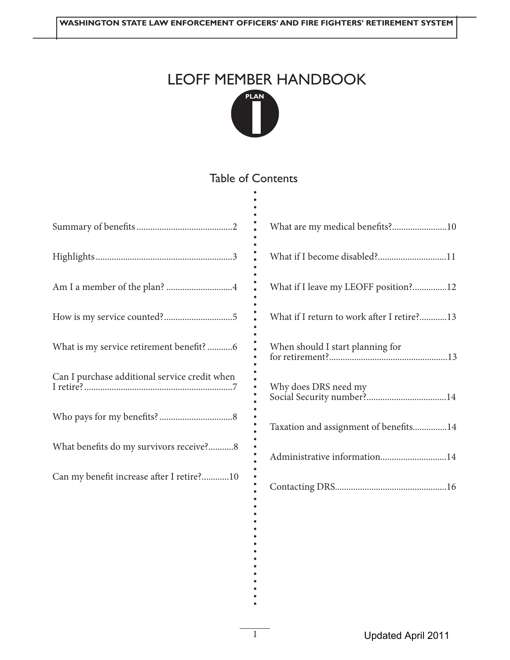# LEOFF MEMBER HANDBOOK **PLAN**



#### Table of Contents .

.

| Am I a member of the plan? 4                  |
|-----------------------------------------------|
|                                               |
| What is my service retirement benefit?6       |
| Can I purchase additional service credit when |
|                                               |
| What benefits do my survivors receive?8       |
| Can my benefit increase after I retire?10     |

| What are my medical benefits?10            |
|--------------------------------------------|
| What if I become disabled?11               |
| What if I leave my LEOFF position?12       |
| What if I return to work after I retire?13 |
| When should I start planning for           |
| Why does DRS need my                       |
| Taxation and assignment of benefits14      |
| Administrative information14               |
|                                            |

................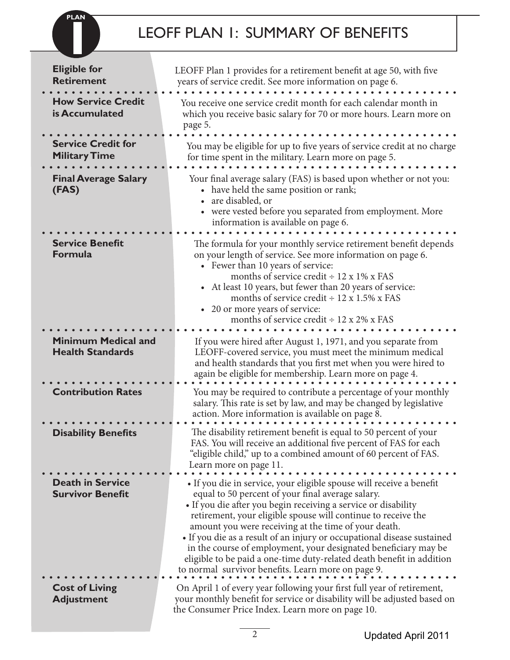# LEOFF PLAN 1: SUMMARY OF BENEFITS

**PLAN**

|                                                       | <b>LEOFF PLAN 1: SUMMARY OF BENEFITS</b>                                                                                                                                                                                                                                                                                                                                                                                                                                                                                                                                                          |
|-------------------------------------------------------|---------------------------------------------------------------------------------------------------------------------------------------------------------------------------------------------------------------------------------------------------------------------------------------------------------------------------------------------------------------------------------------------------------------------------------------------------------------------------------------------------------------------------------------------------------------------------------------------------|
| <b>Eligible for</b><br><b>Retirement</b>              | LEOFF Plan 1 provides for a retirement benefit at age 50, with five<br>years of service credit. See more information on page 6.                                                                                                                                                                                                                                                                                                                                                                                                                                                                   |
| <b>How Service Credit</b><br>is Accumulated           | You receive one service credit month for each calendar month in<br>which you receive basic salary for 70 or more hours. Learn more on<br>page 5.                                                                                                                                                                                                                                                                                                                                                                                                                                                  |
| <b>Service Credit for</b><br><b>Military Time</b>     | You may be eligible for up to five years of service credit at no charge<br>for time spent in the military. Learn more on page 5.                                                                                                                                                                                                                                                                                                                                                                                                                                                                  |
| <b>Final Average Salary</b><br>(FAS)                  | Your final average salary (FAS) is based upon whether or not you:<br>• have held the same position or rank;<br>are disabled, or<br>• were vested before you separated from employment. More<br>information is available on page 6.                                                                                                                                                                                                                                                                                                                                                                |
| <b>Service Benefit</b><br><b>Formula</b>              | The formula for your monthly service retirement benefit depends<br>on your length of service. See more information on page 6.<br>• Fewer than 10 years of service:<br>months of service credit $\div$ 12 x 1% x FAS<br>• At least 10 years, but fewer than 20 years of service:<br>months of service credit $\div$ 12 x 1.5% x FAS<br>• 20 or more years of service:<br>months of service credit $\div$ 12 x 2% x FAS                                                                                                                                                                             |
| <b>Minimum Medical and</b><br><b>Health Standards</b> | If you were hired after August 1, 1971, and you separate from<br>LEOFF-covered service, you must meet the minimum medical<br>and health standards that you first met when you were hired to<br>again be eligible for membership. Learn more on page 4.                                                                                                                                                                                                                                                                                                                                            |
| <b>Contribution Rates</b>                             | You may be required to contribute a percentage of your monthly<br>salary. This rate is set by law, and may be changed by legislative<br>action. More information is available on page 8.                                                                                                                                                                                                                                                                                                                                                                                                          |
| <b>Disability Benefits</b>                            | The disability retirement benefit is equal to 50 percent of your<br>FAS. You will receive an additional five percent of FAS for each<br>"eligible child," up to a combined amount of 60 percent of FAS.<br>Learn more on page 11.                                                                                                                                                                                                                                                                                                                                                                 |
| <b>Death in Service</b><br><b>Survivor Benefit</b>    | • If you die in service, your eligible spouse will receive a benefit<br>equal to 50 percent of your final average salary.<br>• If you die after you begin receiving a service or disability<br>retirement, your eligible spouse will continue to receive the<br>amount you were receiving at the time of your death.<br>• If you die as a result of an injury or occupational disease sustained<br>in the course of employment, your designated beneficiary may be<br>eligible to be paid a one-time duty-related death benefit in addition<br>to normal survivor benefits. Learn more on page 9. |
| <b>Cost of Living</b><br><b>Adjustment</b>            | On April 1 of every year following your first full year of retirement,<br>your monthly benefit for service or disability will be adjusted based on<br>the Consumer Price Index. Learn more on page 10.                                                                                                                                                                                                                                                                                                                                                                                            |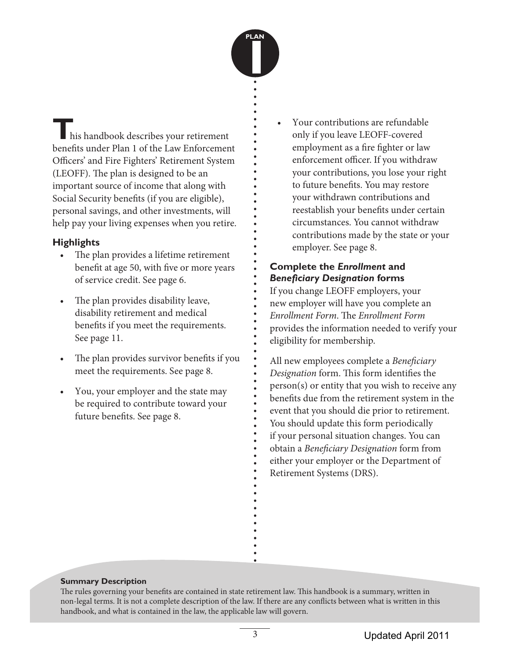

**T**his handbook describes your retirement benefits under Plan 1 of the Law Enforcement Officers' and Fire Fighters' Retirement System (LEOFF). The plan is designed to be an important source of income that along with Social Security benefits (if you are eligible), personal savings, and other investments, will help pay your living expenses when you retire.

### **Highlights**

- The plan provides a lifetime retirement benefit at age 50, with five or more years of service credit. See page 6.
- The plan provides disability leave, disability retirement and medical benefits if you meet the requirements. See page 11.
- The plan provides survivor benefits if you meet the requirements. See page 8.
- You, your employer and the state may be required to contribute toward your future benefits. See page 8.

• Your contributions are refundable only if you leave LEOFF-covered employment as a fire fighter or law enforcement officer. If you withdraw your contributions, you lose your right to future benefits. You may restore your withdrawn contributions and reestablish your benefits under certain circumstances. You cannot withdraw contributions made by the state or your employer. See page 8.

### **Complete the** *Enrollment* **and**  *Beneficiary Designation* **forms**

If you change LEOFF employers, your new employer will have you complete an *Enrollment Form*. The *Enrollment Form* provides the information needed to verify your eligibility for membership.

All new employees complete a *Beneficiary Designation* form. This form identifies the person(s) or entity that you wish to receive any benefits due from the retirement system in the event that you should die prior to retirement. You should update this form periodically if your personal situation changes. You can obtain a *Beneficiary Designation* form from either your employer or the Department of Retirement Systems (DRS).

#### **Summary Description**

3. . . . . . . . . . . . . . . . . . . . . . . . . . . . . . . . . . . . . . . . . . . . . . . . . . . . . . . . . . . . . . . . . The rules governing your benefits are contained in state retirement law. This handbook is a summary, written in non-legal terms. It is not a complete description of the law. If there are any conflicts between what is written in this handbook, and what is contained in the law, the applicable law will govern.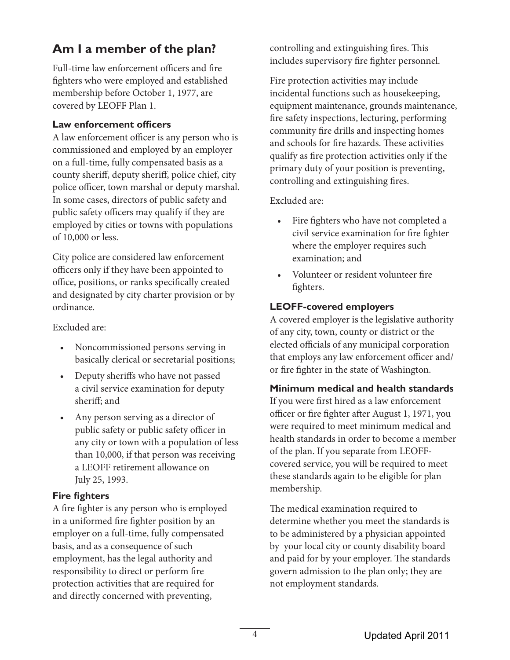# **Am I a member of the plan?**

Full-time law enforcement officers and fire fighters who were employed and established membership before October 1, 1977, are covered by LEOFF Plan 1.

#### **Law enforcement officers**

A law enforcement officer is any person who is commissioned and employed by an employer on a full-time, fully compensated basis as a county sheriff, deputy sheriff, police chief, city police officer, town marshal or deputy marshal. In some cases, directors of public safety and public safety officers may qualify if they are employed by cities or towns with populations of 10,000 or less.

City police are considered law enforcement officers only if they have been appointed to office, positions, or ranks specifically created and designated by city charter provision or by ordinance.

Excluded are:

- Noncommissioned persons serving in basically clerical or secretarial positions;
- Deputy sheriffs who have not passed a civil service examination for deputy sheriff; and
- Any person serving as a director of public safety or public safety officer in any city or town with a population of less than 10,000, if that person was receiving a LEOFF retirement allowance on July 25, 1993.

#### **Fire fighters**

A fire fighter is any person who is employed in a uniformed fire fighter position by an employer on a full-time, fully compensated basis, and as a consequence of such employment, has the legal authority and responsibility to direct or perform fire protection activities that are required for and directly concerned with preventing,

controlling and extinguishing fires. This includes supervisory fire fighter personnel.

Fire protection activities may include incidental functions such as housekeeping, equipment maintenance, grounds maintenance, fire safety inspections, lecturing, performing community fire drills and inspecting homes and schools for fire hazards. These activities qualify as fire protection activities only if the primary duty of your position is preventing, controlling and extinguishing fires.

Excluded are:

- Fire fighters who have not completed a civil service examination for fire fighter where the employer requires such examination; and
- Volunteer or resident volunteer fire fighters.

### **LEOFF-covered employers**

A covered employer is the legislative authority of any city, town, county or district or the elected officials of any municipal corporation that employs any law enforcement officer and/ or fire fighter in the state of Washington.

### **Minimum medical and health standards**

If you were first hired as a law enforcement officer or fire fighter after August 1, 1971, you were required to meet minimum medical and health standards in order to become a member of the plan. If you separate from LEOFFcovered service, you will be required to meet these standards again to be eligible for plan membership.

The medical examination required to determine whether you meet the standards is to be administered by a physician appointed by your local city or county disability board and paid for by your employer. The standards govern admission to the plan only; they are not employment standards.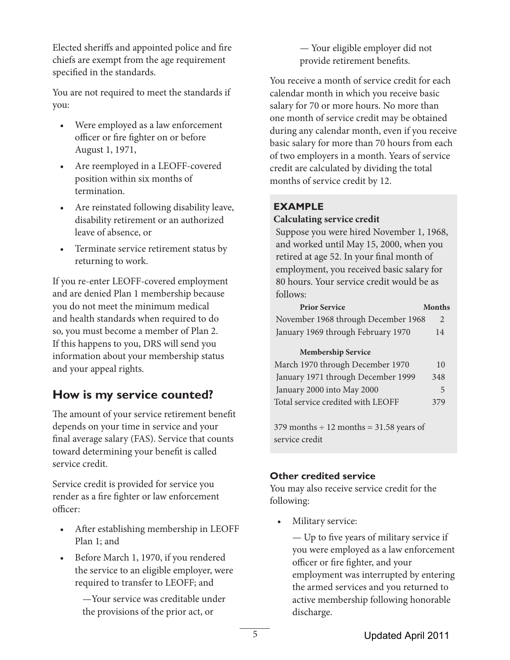Elected sheriffs and appointed police and fire chiefs are exempt from the age requirement specified in the standards.

You are not required to meet the standards if you:

- Were employed as a law enforcement officer or fire fighter on or before August 1, 1971,
- Are reemployed in a LEOFF-covered position within six months of termination.
- Are reinstated following disability leave, disability retirement or an authorized leave of absence, or
- Terminate service retirement status by returning to work.

If you re-enter LEOFF-covered employment and are denied Plan 1 membership because you do not meet the minimum medical and health standards when required to do so, you must become a member of Plan 2. If this happens to you, DRS will send you information about your membership status and your appeal rights.

# **How is my service counted?**

The amount of your service retirement benefit depends on your time in service and your final average salary (FAS). Service that counts toward determining your benefit is called service credit.

Service credit is provided for service you render as a fire fighter or law enforcement officer:

- After establishing membership in LEOFF Plan 1; and
- Before March 1, 1970, if you rendered the service to an eligible employer, were required to transfer to LEOFF; and

—Your service was creditable under the provisions of the prior act, or

— Your eligible employer did not provide retirement benefits.

You receive a month of service credit for each calendar month in which you receive basic salary for 70 or more hours. No more than one month of service credit may be obtained during any calendar month, even if you receive basic salary for more than 70 hours from each of two employers in a month. Years of service credit are calculated by dividing the total months of service credit by 12.

### **EXAMPLE**

#### **Calculating service credit**

Suppose you were hired November 1, 1968, and worked until May 15, 2000, when you retired at age 52. In your final month of employment, you received basic salary for 80 hours. Your service credit would be as follows:

| <b>Prior Service</b>                | <b>Months</b> |
|-------------------------------------|---------------|
| November 1968 through December 1968 |               |
| January 1969 through February 1970  | 14            |

#### **Membership Service**

| March 1970 through December 1970   | 10  |
|------------------------------------|-----|
| January 1971 through December 1999 | 348 |
| January 2000 into May 2000         | 5   |
| Total service credited with LEOFF  | 379 |

379 months  $\div$  12 months = 31.58 years of service credit

### **Other credited service**

You may also receive service credit for the following:

• Military service:

— Up to five years of military service if you were employed as a law enforcement officer or fire fighter, and your employment was interrupted by entering the armed services and you returned to active membership following honorable discharge.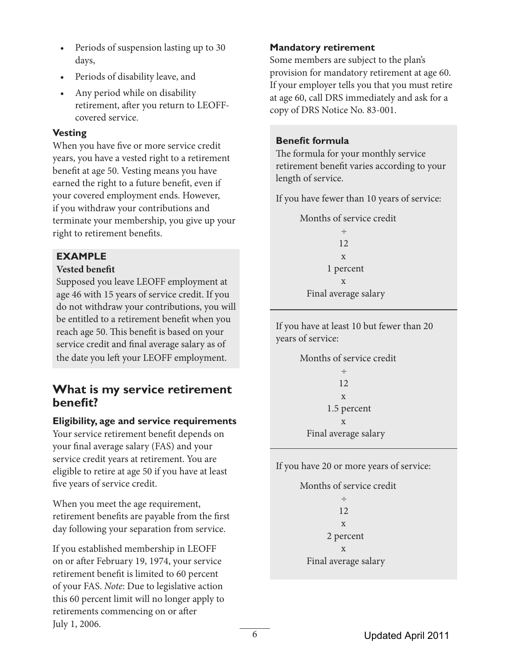- Periods of suspension lasting up to 30 days,
- Periods of disability leave, and
- Any period while on disability retirement, after you return to LEOFFcovered service.

### **Vesting**

When you have five or more service credit years, you have a vested right to a retirement benefit at age 50. Vesting means you have earned the right to a future benefit, even if your covered employment ends. However, if you withdraw your contributions and terminate your membership, you give up your right to retirement benefits.

### **EXAMPLE**

### **Vested benefit**

Supposed you leave LEOFF employment at age 46 with 15 years of service credit. If you do not withdraw your contributions, you will be entitled to a retirement benefit when you reach age 50. This benefit is based on your service credit and final average salary as of the date you left your LEOFF employment.

### **What is my service retirement benefit?**

### **Eligibility, age and service requirements**

Your service retirement benefit depends on your final average salary (FAS) and your service credit years at retirement. You are eligible to retire at age 50 if you have at least five years of service credit.

When you meet the age requirement, retirement benefits are payable from the first day following your separation from service.

If you established membership in LEOFF on or after February 19, 1974, your service retirement benefit is limited to 60 percent of your FAS. *Note*: Due to legislative action this 60 percent limit will no longer apply to retirements commencing on or after July 1, 2006.

### **Mandatory retirement**

Some members are subject to the plan's provision for mandatory retirement at age 60. If your employer tells you that you must retire at age 60, call DRS immediately and ask for a copy of DRS Notice No. 83-001.

### **Benefit formula**

The formula for your monthly service retirement benefit varies according to your length of service.

If you have fewer than 10 years of service:

Months of service credit

÷ ÷ ÷ ÷ ÷ ÷ ÷ 12 **x**  1 percent **x** Final average salary

If you have at least 10 but fewer than 20 years of service:

Months of service credit ÷ ÷ ÷ ÷ ÷ ÷ ÷ 12 **x**  1.5 percent **x** Final average salary

If you have 20 or more years of service:

Months of service credit ÷ ÷ ÷ ÷ ÷ ÷ ÷ 12 **x**  2 percent **x** Final average salary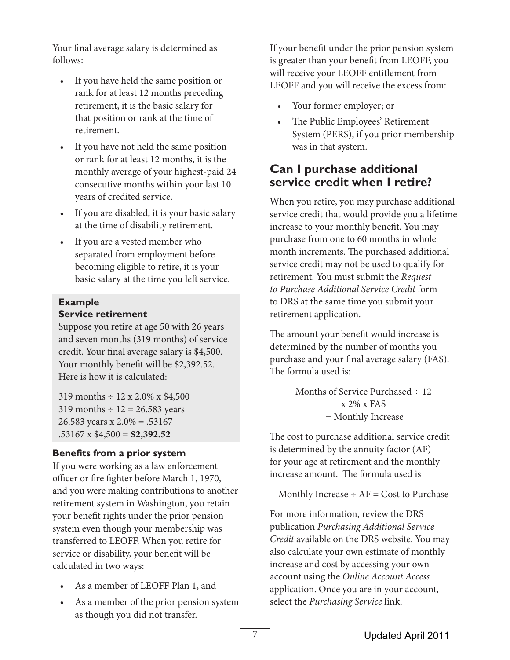Your final average salary is determined as follows:

- If you have held the same position or rank for at least 12 months preceding retirement, it is the basic salary for that position or rank at the time of retirement.
- If you have not held the same position or rank for at least 12 months, it is the monthly average of your highest-paid 24 consecutive months within your last 10 years of credited service.
- If you are disabled, it is your basic salary at the time of disability retirement.
- If you are a vested member who separated from employment before becoming eligible to retire, it is your basic salary at the time you left service.

#### **Example Service retirement**

Suppose you retire at age 50 with 26 years and seven months (319 months) of service credit. Your final average salary is \$4,500. Your monthly benefit will be \$2,392.52. Here is how it is calculated:

319 months  $\div$  12 x 2.0% x \$4,500 319 months  $\div$  12 = 26.583 years 26.583 years x 2.0% = .53167 .53167 x \$4,500 = **\$2,392.52**

### **Benefits from a prior system**

If you were working as a law enforcement officer or fire fighter before March 1, 1970, and you were making contributions to another retirement system in Washington, you retain your benefit rights under the prior pension system even though your membership was transferred to LEOFF. When you retire for service or disability, your benefit will be calculated in two ways:

- As a member of LEOFF Plan 1, and
- As a member of the prior pension system as though you did not transfer.

If your benefit under the prior pension system is greater than your benefit from LEOFF, you will receive your LEOFF entitlement from LEOFF and you will receive the excess from:

- Your former employer; or
- The Public Employees' Retirement System (PERS), if you prior membership was in that system.

# **Can I purchase additional service credit when I retire?**

When you retire, you may purchase additional service credit that would provide you a lifetime increase to your monthly benefit. You may purchase from one to 60 months in whole month increments. The purchased additional service credit may not be used to qualify for retirement. You must submit the *Request to Purchase Additional Service Credit* form to DRS at the same time you submit your retirement application.

The amount your benefit would increase is determined by the number of months you purchase and your final average salary (FAS). The formula used is:

> Months of Service Purchased  $\div$  12 x 2% x FAS = Monthly Increase

The cost to purchase additional service credit is determined by the annuity factor (AF) for your age at retirement and the monthly increase amount. The formula used is

Monthly Increase  $\div$  AF = Cost to Purchase

For more information, review the DRS publication *Purchasing Additional Service Credit* available on the DRS website. You may also calculate your own estimate of monthly increase and cost by accessing your own account using the *Online Account Access* application. Once you are in your account, select the *Purchasing Service* link.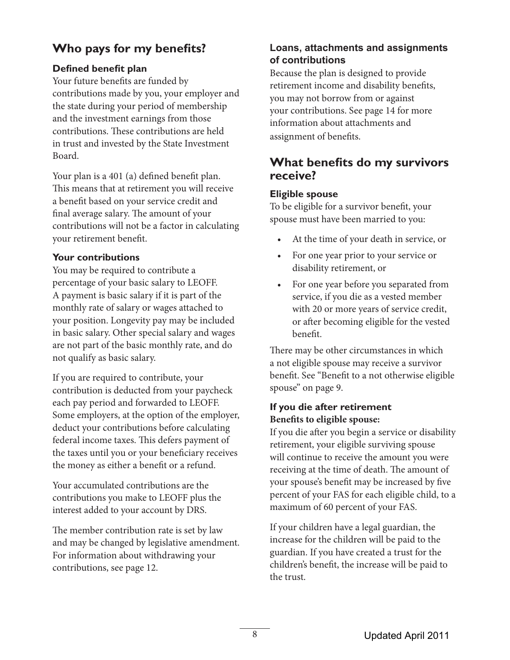# **Who pays for my benefits?**

### **Defined benefit plan**

Your future benefits are funded by contributions made by you, your employer and the state during your period of membership and the investment earnings from those contributions. These contributions are held in trust and invested by the State Investment Board.

Your plan is a 401 (a) defined benefit plan. This means that at retirement you will receive a benefit based on your service credit and final average salary. The amount of your contributions will not be a factor in calculating your retirement benefit.

### **Your contributions**

You may be required to contribute a percentage of your basic salary to LEOFF. A payment is basic salary if it is part of the monthly rate of salary or wages attached to your position. Longevity pay may be included in basic salary. Other special salary and wages are not part of the basic monthly rate, and do not qualify as basic salary.

If you are required to contribute, your contribution is deducted from your paycheck each pay period and forwarded to LEOFF. Some employers, at the option of the employer, deduct your contributions before calculating federal income taxes. This defers payment of the taxes until you or your beneficiary receives the money as either a benefit or a refund.

Your accumulated contributions are the contributions you make to LEOFF plus the interest added to your account by DRS.

The member contribution rate is set by law and may be changed by legislative amendment. For information about withdrawing your contributions, see page 12.

### **Loans, attachments and assignments of contributions**

Because the plan is designed to provide retirement income and disability benefits, you may not borrow from or against your contributions. See page 14 for more information about attachments and assignment of benefits.

# **What benefits do my survivors receive?**

### **Eligible spouse**

To be eligible for a survivor benefit, your spouse must have been married to you:

- At the time of your death in service, or
- For one year prior to your service or disability retirement, or
- For one year before you separated from service, if you die as a vested member with 20 or more years of service credit, or after becoming eligible for the vested benefit.

There may be other circumstances in which a not eligible spouse may receive a survivor benefit. See "Benefit to a not otherwise eligible spouse" on page 9.

### **If you die after retirement Benefits to eligible spouse:**

If you die after you begin a service or disability retirement, your eligible surviving spouse will continue to receive the amount you were receiving at the time of death. The amount of your spouse's benefit may be increased by five percent of your FAS for each eligible child, to a maximum of 60 percent of your FAS.

If your children have a legal guardian, the increase for the children will be paid to the guardian. If you have created a trust for the children's benefit, the increase will be paid to the trust.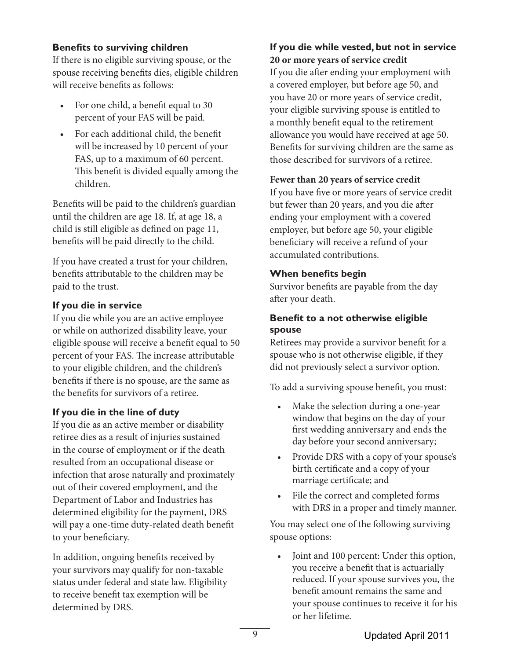### **Benefits to surviving children**

If there is no eligible surviving spouse, or the spouse receiving benefits dies, eligible children will receive benefits as follows:

- For one child, a benefit equal to 30 percent of your FAS will be paid.
- For each additional child, the benefit will be increased by 10 percent of your FAS, up to a maximum of 60 percent. This benefit is divided equally among the children.

Benefits will be paid to the children's guardian until the children are age 18. If, at age 18, a child is still eligible as defined on page 11, benefits will be paid directly to the child.

If you have created a trust for your children, benefits attributable to the children may be paid to the trust.

#### **If you die in service**

If you die while you are an active employee or while on authorized disability leave, your eligible spouse will receive a benefit equal to 50 percent of your FAS. The increase attributable to your eligible children, and the children's benefits if there is no spouse, are the same as the benefits for survivors of a retiree.

### **If you die in the line of duty**

If you die as an active member or disability retiree dies as a result of injuries sustained in the course of employment or if the death resulted from an occupational disease or infection that arose naturally and proximately out of their covered employment, and the Department of Labor and Industries has determined eligibility for the payment, DRS will pay a one-time duty-related death benefit to your beneficiary.

In addition, ongoing benefits received by your survivors may qualify for non-taxable status under federal and state law. Eligibility to receive benefit tax exemption will be determined by DRS.

### **If you die while vested, but not in service 20 or more years of service credit**

If you die after ending your employment with a covered employer, but before age 50, and you have 20 or more years of service credit, your eligible surviving spouse is entitled to a monthly benefit equal to the retirement allowance you would have received at age 50. Benefits for surviving children are the same as those described for survivors of a retiree.

#### **Fewer than 20 years of service credit**

If you have five or more years of service credit but fewer than 20 years, and you die after ending your employment with a covered employer, but before age 50, your eligible beneficiary will receive a refund of your accumulated contributions.

#### **When benefits begin**

Survivor benefits are payable from the day after your death.

### **Benefit to a not otherwise eligible spouse**

Retirees may provide a survivor benefit for a spouse who is not otherwise eligible, if they did not previously select a survivor option.

To add a surviving spouse benefit, you must:

- Make the selection during a one-year window that begins on the day of your first wedding anniversary and ends the day before your second anniversary;
- Provide DRS with a copy of your spouse's birth certificate and a copy of your marriage certificate; and
- File the correct and completed forms with DRS in a proper and timely manner.

You may select one of the following surviving spouse options:

• Joint and 100 percent: Under this option, you receive a benefit that is actuarially reduced. If your spouse survives you, the benefit amount remains the same and your spouse continues to receive it for his or her lifetime.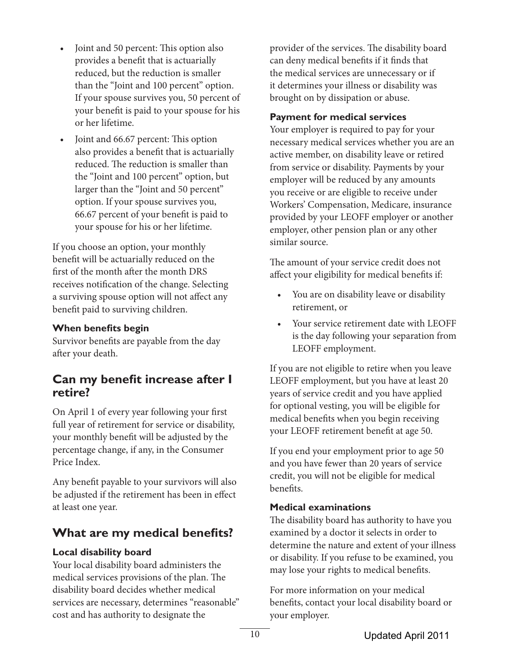- Joint and 50 percent: This option also provides a benefit that is actuarially reduced, but the reduction is smaller than the "Joint and 100 percent" option. If your spouse survives you, 50 percent of your benefit is paid to your spouse for his or her lifetime.
- Joint and 66.67 percent: This option also provides a benefit that is actuarially reduced. The reduction is smaller than the "Joint and 100 percent" option, but larger than the "Joint and 50 percent" option. If your spouse survives you, 66.67 percent of your benefit is paid to your spouse for his or her lifetime.

If you choose an option, your monthly benefit will be actuarially reduced on the first of the month after the month DRS receives notification of the change. Selecting a surviving spouse option will not affect any benefit paid to surviving children.

### **When benefits begin**

Survivor benefits are payable from the day after your death.

## **Can my benefit increase after I retire?**

On April 1 of every year following your first full year of retirement for service or disability, your monthly benefit will be adjusted by the percentage change, if any, in the Consumer Price Index.

Any benefit payable to your survivors will also be adjusted if the retirement has been in effect at least one year.

# **What are my medical benefits?**

#### **Local disability board**

Your local disability board administers the medical services provisions of the plan. The disability board decides whether medical services are necessary, determines "reasonable" cost and has authority to designate the

provider of the services. The disability board can deny medical benefits if it finds that the medical services are unnecessary or if it determines your illness or disability was brought on by dissipation or abuse.

### **Payment for medical services**

Your employer is required to pay for your necessary medical services whether you are an active member, on disability leave or retired from service or disability. Payments by your employer will be reduced by any amounts you receive or are eligible to receive under Workers' Compensation, Medicare, insurance provided by your LEOFF employer or another employer, other pension plan or any other similar source.

The amount of your service credit does not affect your eligibility for medical benefits if:

- You are on disability leave or disability retirement, or
- Your service retirement date with LEOFF is the day following your separation from LEOFF employment.

If you are not eligible to retire when you leave LEOFF employment, but you have at least 20 years of service credit and you have applied for optional vesting, you will be eligible for medical benefits when you begin receiving your LEOFF retirement benefit at age 50.

If you end your employment prior to age 50 and you have fewer than 20 years of service credit, you will not be eligible for medical benefits.

### **Medical examinations**

The disability board has authority to have you examined by a doctor it selects in order to determine the nature and extent of your illness or disability. If you refuse to be examined, you may lose your rights to medical benefits.

For more information on your medical benefits, contact your local disability board or your employer.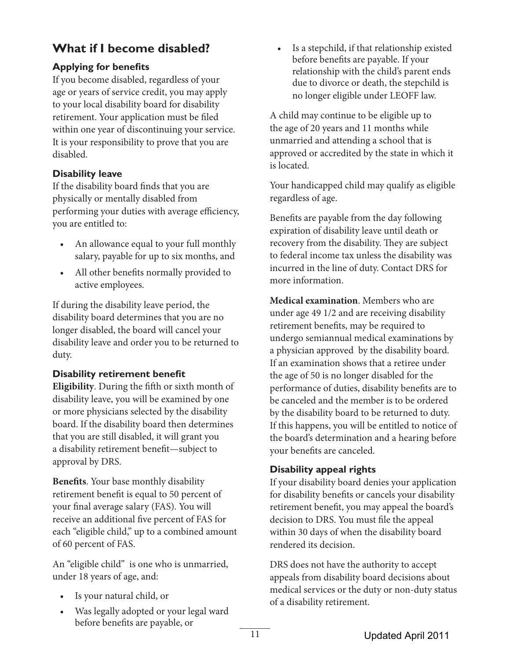# **What if I become disabled?**

### **Applying for benefits**

If you become disabled, regardless of your age or years of service credit, you may apply to your local disability board for disability retirement. Your application must be filed within one year of discontinuing your service. It is your responsibility to prove that you are disabled.

### **Disability leave**

If the disability board finds that you are physically or mentally disabled from performing your duties with average efficiency, you are entitled to:

- An allowance equal to your full monthly salary, payable for up to six months, and
- All other benefits normally provided to active employees.

If during the disability leave period, the disability board determines that you are no longer disabled, the board will cancel your disability leave and order you to be returned to duty.

### **Disability retirement benefit**

**Eligibility**. During the fifth or sixth month of disability leave, you will be examined by one or more physicians selected by the disability board. If the disability board then determines that you are still disabled, it will grant you a disability retirement benefit—subject to approval by DRS.

**Benefits**. Your base monthly disability retirement benefit is equal to 50 percent of your final average salary (FAS). You will receive an additional five percent of FAS for each "eligible child," up to a combined amount of 60 percent of FAS.

An "eligible child" is one who is unmarried, under 18 years of age, and:

- Is your natural child, or
- Was legally adopted or your legal ward before benefits are payable, or

Is a stepchild, if that relationship existed before benefits are payable. If your relationship with the child's parent ends due to divorce or death, the stepchild is no longer eligible under LEOFF law.

A child may continue to be eligible up to the age of 20 years and 11 months while unmarried and attending a school that is approved or accredited by the state in which it is located.

Your handicapped child may qualify as eligible regardless of age.

Benefits are payable from the day following expiration of disability leave until death or recovery from the disability. They are subject to federal income tax unless the disability was incurred in the line of duty. Contact DRS for more information.

**Medical examination**. Members who are under age 49 1/2 and are receiving disability retirement benefits, may be required to undergo semiannual medical examinations by a physician approved by the disability board. If an examination shows that a retiree under the age of 50 is no longer disabled for the performance of duties, disability benefits are to be canceled and the member is to be ordered by the disability board to be returned to duty. If this happens, you will be entitled to notice of the board's determination and a hearing before your benefits are canceled.

### **Disability appeal rights**

If your disability board denies your application for disability benefits or cancels your disability retirement benefit, you may appeal the board's decision to DRS. You must file the appeal within 30 days of when the disability board rendered its decision.

DRS does not have the authority to accept appeals from disability board decisions about medical services or the duty or non-duty status of a disability retirement.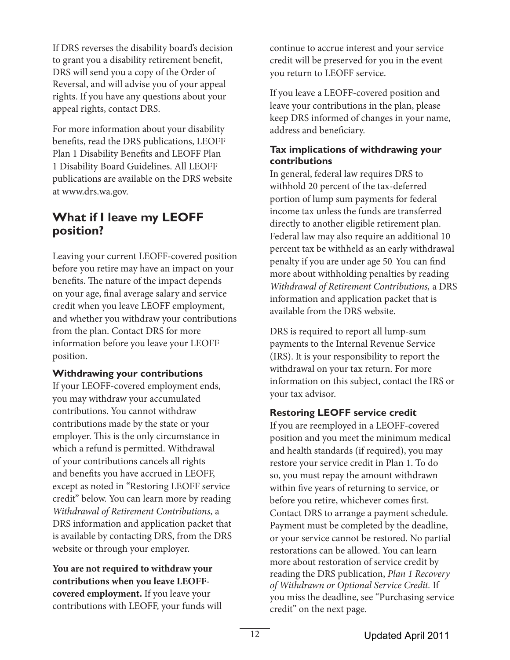If DRS reverses the disability board's decision to grant you a disability retirement benefit, DRS will send you a copy of the Order of Reversal, and will advise you of your appeal rights. If you have any questions about your appeal rights, contact DRS.

For more information about your disability benefits, read the DRS publications, LEOFF Plan 1 Disability Benefits and LEOFF Plan 1 Disability Board Guidelines. All LEOFF publications are available on the DRS website at www.drs.wa.gov.

# **What if I leave my LEOFF position?**

Leaving your current LEOFF-covered position before you retire may have an impact on your benefits. The nature of the impact depends on your age, final average salary and service credit when you leave LEOFF employment, and whether you withdraw your contributions from the plan. Contact DRS for more information before you leave your LEOFF position.

#### **Withdrawing your contributions**

If your LEOFF-covered employment ends, you may withdraw your accumulated contributions. You cannot withdraw contributions made by the state or your employer. This is the only circumstance in which a refund is permitted. Withdrawal of your contributions cancels all rights and benefits you have accrued in LEOFF, except as noted in "Restoring LEOFF service credit" below. You can learn more by reading *Withdrawal of Retirement Contributions*, a DRS information and application packet that is available by contacting DRS, from the DRS website or through your employer.

**You are not required to withdraw your contributions when you leave LEOFFcovered employment.** If you leave your contributions with LEOFF, your funds will continue to accrue interest and your service credit will be preserved for you in the event you return to LEOFF service.

If you leave a LEOFF-covered position and leave your contributions in the plan, please keep DRS informed of changes in your name, address and beneficiary.

### **Tax implications of withdrawing your contributions**

In general, federal law requires DRS to withhold 20 percent of the tax-deferred portion of lump sum payments for federal income tax unless the funds are transferred directly to another eligible retirement plan. Federal law may also require an additional 10 percent tax be withheld as an early withdrawal penalty if you are under age 50. You can find more about withholding penalties by reading *Withdrawal of Retirement Contributions,* a DRS information and application packet that is available from the DRS website.

DRS is required to report all lump-sum payments to the Internal Revenue Service (IRS). It is your responsibility to report the withdrawal on your tax return. For more information on this subject, contact the IRS or your tax advisor.

### **Restoring LEOFF service credit**

If you are reemployed in a LEOFF-covered position and you meet the minimum medical and health standards (if required), you may restore your service credit in Plan 1. To do so, you must repay the amount withdrawn within five years of returning to service, or before you retire, whichever comes first. Contact DRS to arrange a payment schedule. Payment must be completed by the deadline, or your service cannot be restored. No partial restorations can be allowed. You can learn more about restoration of service credit by reading the DRS publication, *Plan 1 Recovery of Withdrawn or Optional Service Credit.* If you miss the deadline, see "Purchasing service credit" on the next page.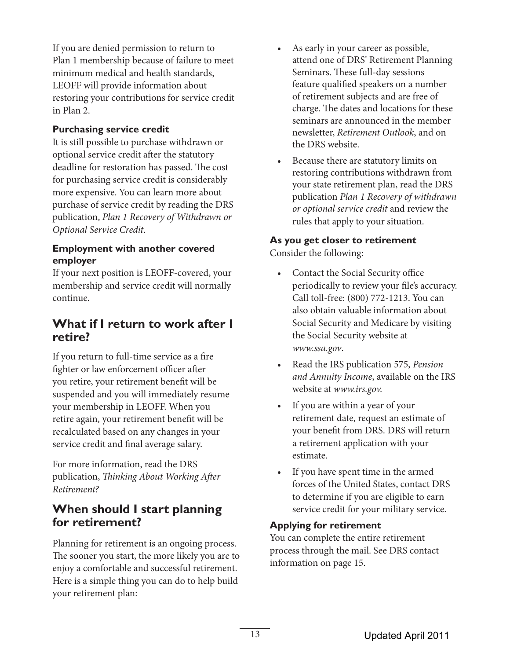If you are denied permission to return to Plan 1 membership because of failure to meet minimum medical and health standards, LEOFF will provide information about restoring your contributions for service credit in Plan 2.

### **Purchasing service credit**

It is still possible to purchase withdrawn or optional service credit after the statutory deadline for restoration has passed. The cost for purchasing service credit is considerably more expensive. You can learn more about purchase of service credit by reading the DRS publication, *Plan 1 Recovery of Withdrawn or Optional Service Credit*.

#### **Employment with another covered employer**

If your next position is LEOFF-covered, your membership and service credit will normally continue.

## **What if I return to work after I retire?**

If you return to full-time service as a fire fighter or law enforcement officer after you retire, your retirement benefit will be suspended and you will immediately resume your membership in LEOFF. When you retire again, your retirement benefit will be recalculated based on any changes in your service credit and final average salary.

For more information, read the DRS publication, *Thinking About Working After Retirement?*

# **When should I start planning for retirement?**

Planning for retirement is an ongoing process. The sooner you start, the more likely you are to enjoy a comfortable and successful retirement. Here is a simple thing you can do to help build your retirement plan:

- As early in your career as possible, attend one of DRS' Retirement Planning Seminars. These full-day sessions feature qualified speakers on a number of retirement subjects and are free of charge. The dates and locations for these seminars are announced in the member newsletter, *Retirement Outlook*, and on the DRS website.
- Because there are statutory limits on restoring contributions withdrawn from your state retirement plan, read the DRS publication *Plan 1 Recovery of withdrawn or optional service credit* and review the rules that apply to your situation.

### **As you get closer to retirement**

Consider the following:

- Contact the Social Security office periodically to review your file's accuracy. Call toll-free: (800) 772-1213. You can also obtain valuable information about Social Security and Medicare by visiting the Social Security website at *www.ssa.gov*.
- Read the IRS publication 575, *Pension and Annuity Income*, available on the IRS website at *www.irs.gov.*
- If you are within a year of your retirement date, request an estimate of your benefit from DRS. DRS will return a retirement application with your estimate.
- If you have spent time in the armed forces of the United States, contact DRS to determine if you are eligible to earn service credit for your military service.

#### **Applying for retirement**

You can complete the entire retirement process through the mail. See DRS contact information on page 15.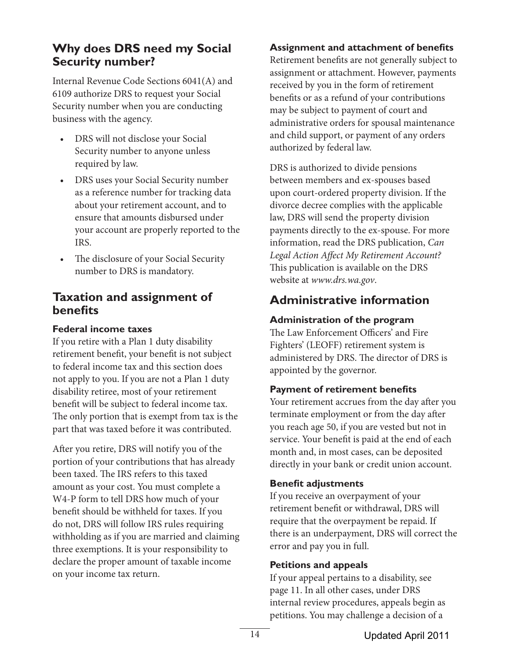# **Why does DRS need my Social Security number?**

Internal Revenue Code Sections 6041(A) and 6109 authorize DRS to request your Social Security number when you are conducting business with the agency.

- DRS will not disclose your Social Security number to anyone unless required by law.
- DRS uses your Social Security number as a reference number for tracking data about your retirement account, and to ensure that amounts disbursed under your account are properly reported to the IRS.
- The disclosure of your Social Security number to DRS is mandatory.

## **Taxation and assignment of benefits**

### **Federal income taxes**

If you retire with a Plan 1 duty disability retirement benefit, your benefit is not subject to federal income tax and this section does not apply to you. If you are not a Plan 1 duty disability retiree, most of your retirement benefit will be subject to federal income tax. The only portion that is exempt from tax is the part that was taxed before it was contributed.

After you retire, DRS will notify you of the portion of your contributions that has already been taxed. The IRS refers to this taxed amount as your cost. You must complete a W4-P form to tell DRS how much of your benefit should be withheld for taxes. If you do not, DRS will follow IRS rules requiring withholding as if you are married and claiming three exemptions. It is your responsibility to declare the proper amount of taxable income on your income tax return.

### **Assignment and attachment of benefits**

Retirement benefits are not generally subject to assignment or attachment. However, payments received by you in the form of retirement benefits or as a refund of your contributions may be subject to payment of court and administrative orders for spousal maintenance and child support, or payment of any orders authorized by federal law.

DRS is authorized to divide pensions between members and ex-spouses based upon court-ordered property division. If the divorce decree complies with the applicable law, DRS will send the property division payments directly to the ex-spouse. For more information, read the DRS publication, *Can Legal Action Affect My Retirement Account?*  This publication is available on the DRS website at *www.drs.wa.gov*.

# **Administrative information**

### **Administration of the program**

The Law Enforcement Officers' and Fire Fighters' (LEOFF) retirement system is administered by DRS. The director of DRS is appointed by the governor.

### **Payment of retirement benefits**

Your retirement accrues from the day after you terminate employment or from the day after you reach age 50, if you are vested but not in service. Your benefit is paid at the end of each month and, in most cases, can be deposited directly in your bank or credit union account.

### **Benefit adjustments**

If you receive an overpayment of your retirement benefit or withdrawal, DRS will require that the overpayment be repaid. If there is an underpayment, DRS will correct the error and pay you in full.

### **Petitions and appeals**

If your appeal pertains to a disability, see page 11. In all other cases, under DRS internal review procedures, appeals begin as petitions. You may challenge a decision of a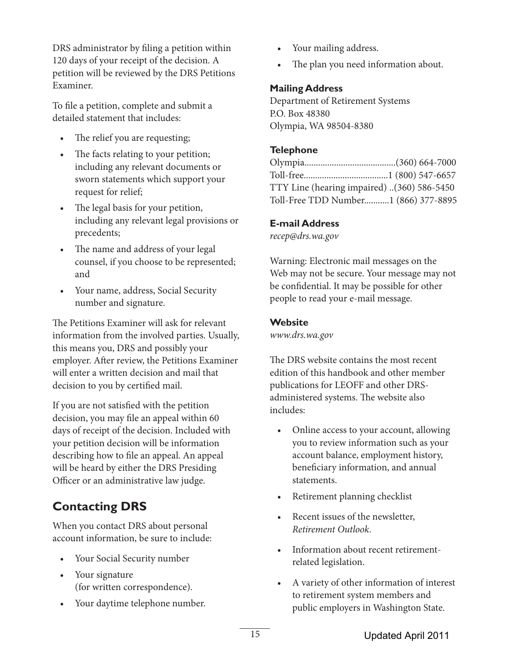DRS administrator by filing a petition within 120 days of your receipt of the decision. A petition will be reviewed by the DRS Petitions Examiner.

To file a petition, complete and submit a detailed statement that includes:

- The relief you are requesting;
- The facts relating to your petition; including any relevant documents or sworn statements which support your request for relief;
- The legal basis for your petition, including any relevant legal provisions or precedents;
- The name and address of your legal counsel, if you choose to be represented; and
- Your name, address, Social Security number and signature.

The Petitions Examiner will ask for relevant information from the involved parties. Usually, this means you, DRS and possibly your employer. After review, the Petitions Examiner will enter a written decision and mail that decision to you by certified mail.

If you are not satisfied with the petition decision, you may file an appeal within 60 days of receipt of the decision. Included with your petition decision will be information describing how to file an appeal. An appeal will be heard by either the DRS Presiding Officer or an administrative law judge.

# **Contacting DRS**

When you contact DRS about personal account information, be sure to include:

- Your Social Security number
- Your signature (for written correspondence).
- Your daytime telephone number.
- Your mailing address.
- The plan you need information about.

### **Mailing Address**

Department of Retirement Systems P.O. Box 48380 Olympia, WA 98504-8380

### **Telephone**

| TTY Line (hearing impaired) (360) 586-5450 |  |
|--------------------------------------------|--|
| Toll-Free TDD Number1 (866) 377-8895       |  |

### **E-mail Address**

*recep@drs.wa.gov*

Warning: Electronic mail messages on the Web may not be secure. Your message may not be confidential. It may be possible for other people to read your e-mail message.

### **Website**

*www.drs.wa.gov*

The DRS website contains the most recent edition of this handbook and other member publications for LEOFF and other DRSadministered systems. The website also includes:

- Online access to your account, allowing you to review information such as your account balance, employment history, beneficiary information, and annual statements.
- Retirement planning checklist
- Recent issues of the newsletter, *Retirement Outlook*.
- Information about recent retirementrelated legislation.
- A variety of other information of interest to retirement system members and public employers in Washington State.